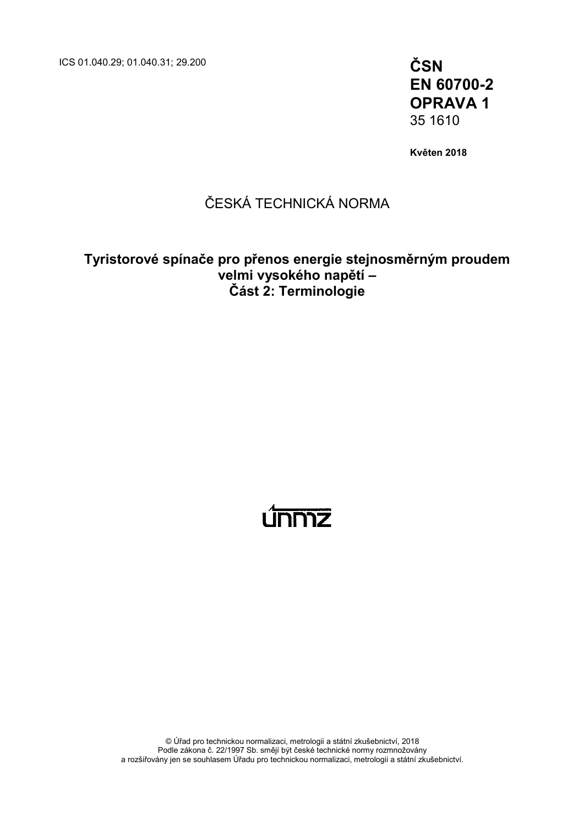ICS 01.040.29; 01.040.31; 29.200 **ČSN**

**EN 60700-2 OPRAVA 1** 35 1610

**Květen 2018**

### ČESKÁ TECHNICKÁ NORMA

### **Tyristorové spínače pro přenos energie stejnosměrným proudem velmi vysokého napětí – Část 2: Terminologie**

# $\sqrt{nmz}$

© Úřad pro technickou normalizaci, metrologii a státní zkušebnictví, 2018 Podle zákona č. 22/1997 Sb. smějí být české technické normy rozmnožovány a rozšiřovány jen se souhlasem Úřadu pro technickou normalizaci, metrologii a státní zkušebnictví.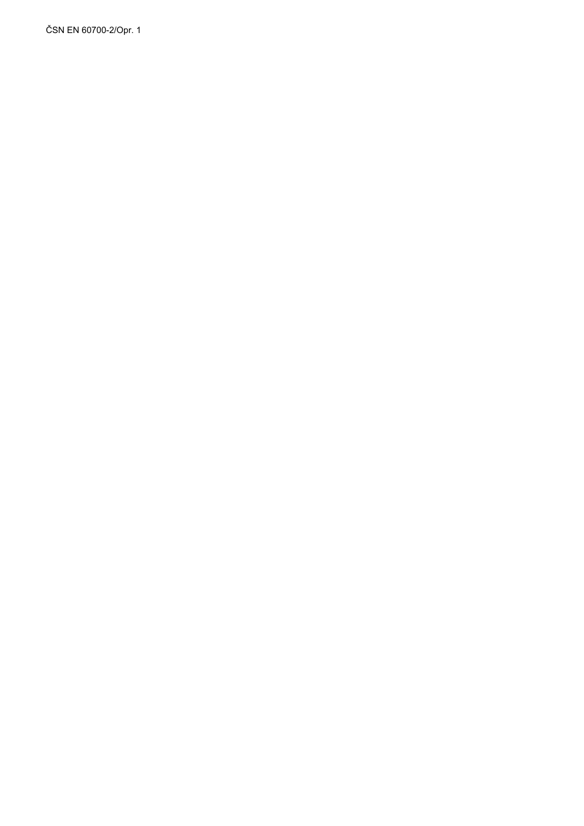ČSN EN 60700-2/Opr. 1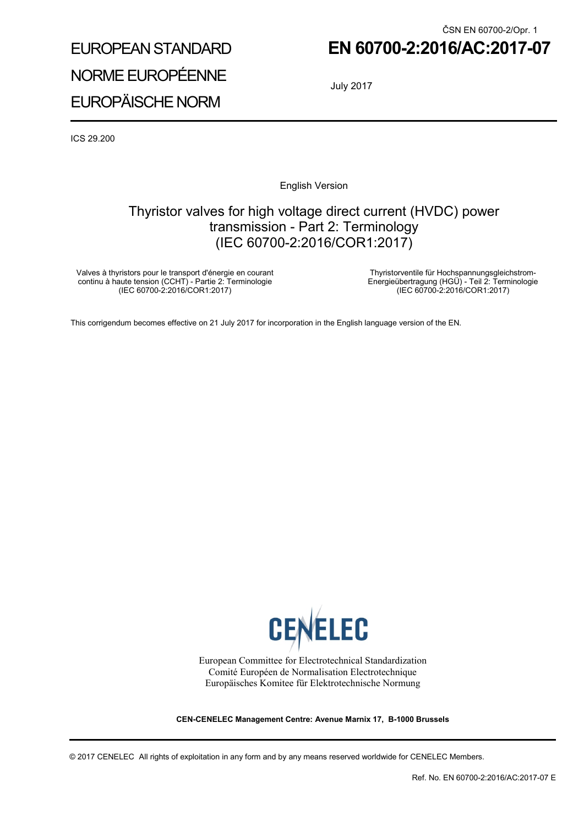# EUROPEAN STANDARD NORME EUROPÉENNE EUROPÄISCHE NORM



July 2017

ICS 29.200

English Version

### Thyristor valves for high voltage direct current (HVDC) power transmission - Part 2: Terminology (IEC 60700-2:2016/COR1:2017)

Valves à thyristors pour le transport d'énergie en courant continu à haute tension (CCHT) - Partie 2: Terminologie (IEC 60700-2:2016/COR1:2017)

 Thyristorventile für Hochspannungsgleichstrom-Energieübertragung (HGÜ) - Teil 2: Terminologie (IEC 60700-2:2016/COR1:2017)

This corrigendum becomes effective on 21 July 2017 for incorporation in the English language version of the EN.



European Committee for Electrotechnical Standardization Comité Européen de Normalisation Electrotechnique Europäisches Komitee für Elektrotechnische Normung

**CEN-CENELEC Management Centre: Avenue Marnix 17, B-1000 Brussels** 

© 2017 CENELEC All rights of exploitation in any form and by any means reserved worldwide for CENELEC Members.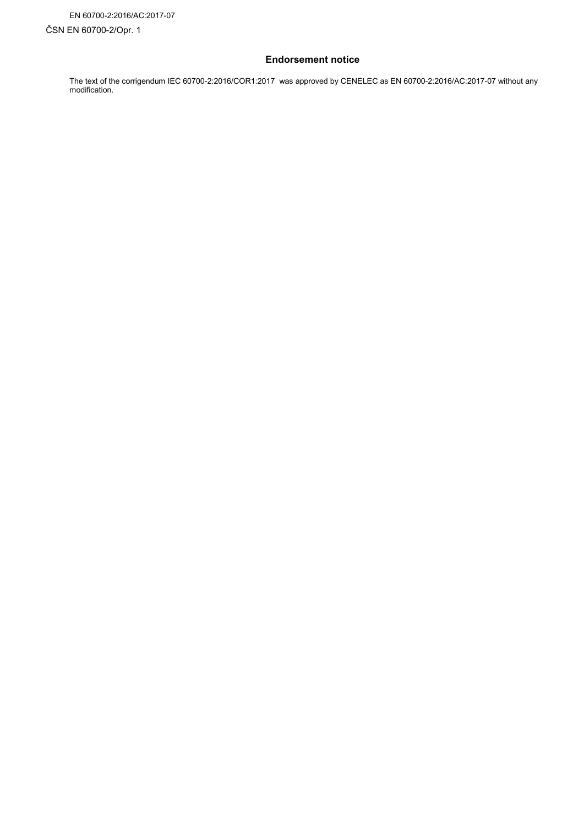EN 60700-2:2016/AC:2017-07

ČSN EN 60700-2/Opr. 1

### **Endorsement notice**

The text of the corrigendum IEC 60700-2:2016/COR1:2017 was approved by CENELEC as EN 60700-2:2016/AC:2017-07 without any modification.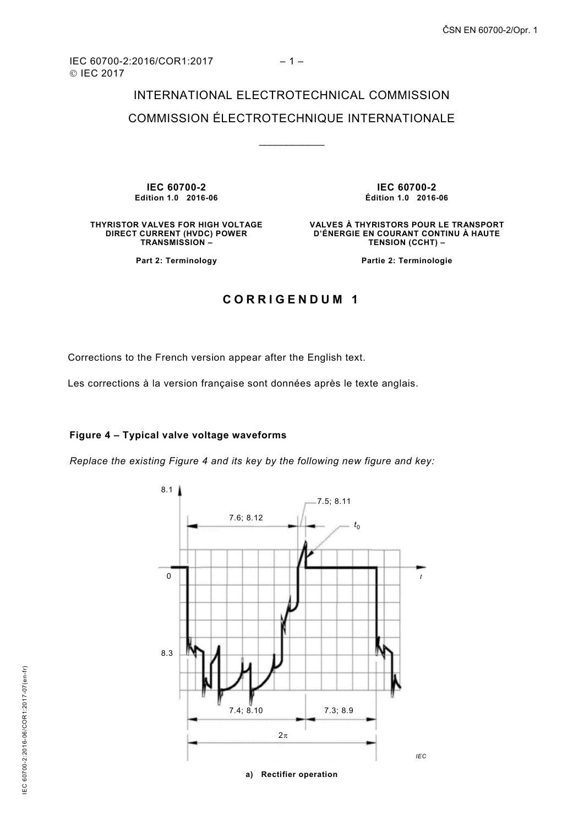IEC 60700-2:2016/COR1:2017 – 1 – © IEC 2017

# INTERNATIONAL ELECTROTECHNICAL COMMISSION

### COMMISSION ÉLECTROTECHNIQUE INTERNATIONALE

\_\_\_\_\_\_\_\_\_\_\_\_

**IEC 60700-2 Edition 1.0 2016-06**

**IEC 60700-2 Édition 1.0 2016-06**

**THYRISTOR VALVES FOR HIGH VOLTAGE DIRECT CURRENT (HVDC) POWER TRANSMISSION –** 

**D'ÉNERGIE EN COURANT CONTINU À HAUTE TENSION (CCHT) – Partie 2: Terminologie**

**VALVES À THYRISTORS POUR LE TRANSPORT** 

**Part 2: Terminology**

### **CORRIGENDUM 1**

Corrections to the French version appear after the English text.

Les corrections à la version française sont données après le texte anglais.

### **Figure 4 – Typical valve voltage waveforms**

*Replace the existing Figure 4 and its key by the following new figure and key:*

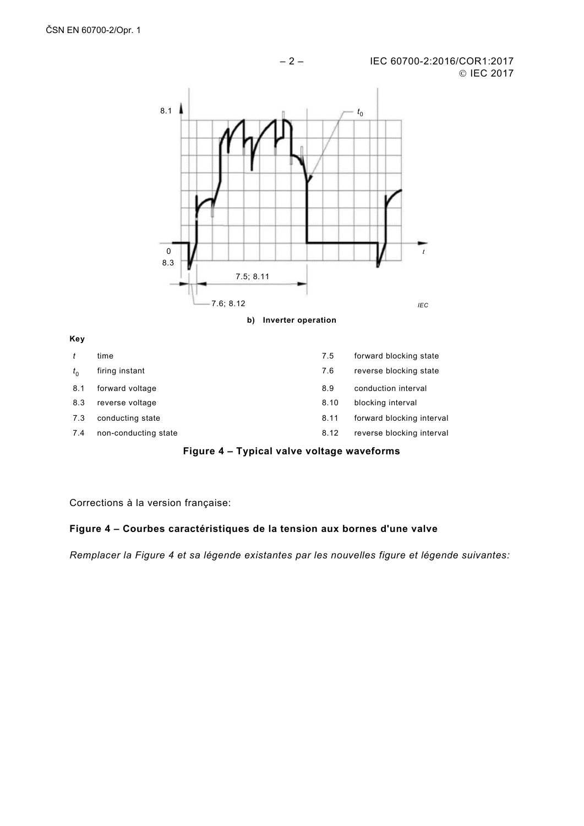**Key**



**b) Inverter operation**

|     | time                 | 7.5  | forward blocking state    |
|-----|----------------------|------|---------------------------|
|     | firing instant       | 7.6  | reverse blocking state    |
| 8.1 | forward voltage      | 8.9  | conduction interval       |
| 8.3 | reverse voltage      | 8.10 | blocking interval         |
| 7.3 | conducting state     | 8.11 | forward blocking interval |
| 7.4 | non-conducting state | 8.12 | reverse blocking interval |
|     |                      |      |                           |

**Figure 4 – Typical valve voltage waveforms**

Corrections à la version française:

### **Figure 4 – Courbes caractéristiques de la tension aux bornes d'une valve**

*Remplacer la Figure 4 et sa légende existantes par les nouvelles figure et légende suivantes:*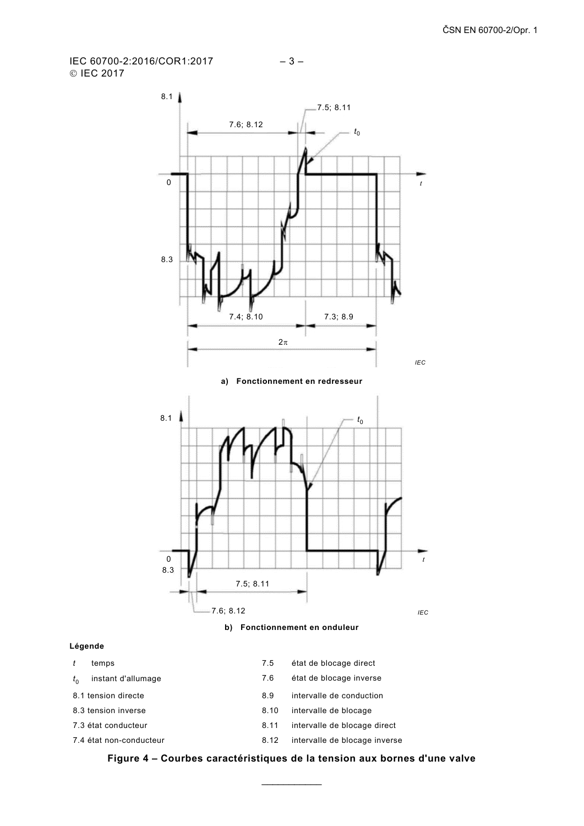IEC 60700-2:2016/COR1:2017 – 3 – © IEC 2017



#### **Légende**

| t       | temps                   | 7.5  | état de blocage direct        |
|---------|-------------------------|------|-------------------------------|
| $t_{0}$ | instant d'allumage      | 7.6  | état de blocage inverse       |
|         | 8.1 tension directe     | 8.9  | intervalle de conduction      |
|         | 8.3 tension inverse     | 8.10 | intervalle de blocage         |
|         | 7.3 état conducteur     | 8.11 | intervalle de blocage direct  |
|         | 7.4 état non-conducteur | 8.12 | intervalle de blocage inverse |

**Figure 4 – Courbes caractéristiques de la tension aux bornes d'une valve**

 $\overline{\phantom{a}}$